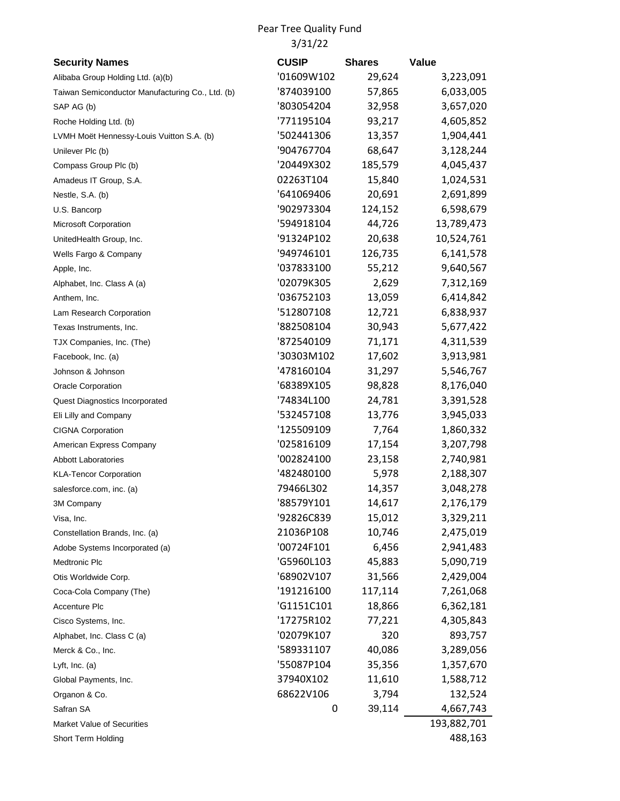Pear Tree Quality Fund 3/31/22

| <b>Security Names</b>                            | <b>CUSIP</b> | <b>Shares</b> | <b>Value</b> |
|--------------------------------------------------|--------------|---------------|--------------|
| Alibaba Group Holding Ltd. (a)(b)                | '01609W102   | 29,624        | 3,223,091    |
| Taiwan Semiconductor Manufacturing Co., Ltd. (b) | 874039100    | 57,865        | 6,033,005    |
| SAP AG (b)                                       | '803054204   | 32,958        | 3,657,020    |
| Roche Holding Ltd. (b)                           | '771195104   | 93,217        | 4,605,852    |
| LVMH Moët Hennessy-Louis Vuitton S.A. (b)        | '502441306   | 13,357        | 1,904,441    |
| Unilever Plc (b)                                 | '904767704   | 68,647        | 3,128,244    |
| Compass Group Plc (b)                            | '20449X302   | 185,579       | 4,045,437    |
| Amadeus IT Group, S.A.                           | 02263T104    | 15,840        | 1,024,531    |
| Nestle, S.A. (b)                                 | '641069406   | 20,691        | 2,691,899    |
| U.S. Bancorp                                     | '902973304   | 124,152       | 6,598,679    |
| Microsoft Corporation                            | '594918104   | 44,726        | 13,789,473   |
| UnitedHealth Group, Inc.                         | '91324P102   | 20,638        | 10,524,761   |
| Wells Fargo & Company                            | '949746101   | 126,735       | 6,141,578    |
| Apple, Inc.                                      | '037833100   | 55,212        | 9,640,567    |
| Alphabet, Inc. Class A (a)                       | '02079K305   | 2,629         | 7,312,169    |
| Anthem, Inc.                                     | '036752103   | 13,059        | 6,414,842    |
| Lam Research Corporation                         | '512807108   | 12,721        | 6,838,937    |
| Texas Instruments, Inc.                          | '882508104   | 30,943        | 5,677,422    |
| TJX Companies, Inc. (The)                        | 872540109    | 71,171        | 4,311,539    |
| Facebook, Inc. (a)                               | '30303M102   | 17,602        | 3,913,981    |
| Johnson & Johnson                                | '478160104   | 31,297        | 5,546,767    |
| Oracle Corporation                               | '68389X105   | 98,828        | 8,176,040    |
| Quest Diagnostics Incorporated                   | '74834L100   | 24,781        | 3,391,528    |
| Eli Lilly and Company                            | '532457108   | 13,776        | 3,945,033    |
| <b>CIGNA Corporation</b>                         | '125509109   | 7,764         | 1,860,332    |
| American Express Company                         | '025816109   | 17,154        | 3,207,798    |
| <b>Abbott Laboratories</b>                       | '002824100   | 23,158        | 2,740,981    |
| <b>KLA-Tencor Corporation</b>                    | '482480100   | 5,978         | 2,188,307    |
| salesforce.com, inc. (a)                         | 79466L302    | 14,357        | 3,048,278    |
| 3M Company                                       | '88579Y101   | 14,617        | 2,176,179    |
| Visa, Inc.                                       | '92826C839   | 15,012        | 3,329,211    |
| Constellation Brands, Inc. (a)                   | 21036P108    | 10,746        | 2,475,019    |
| Adobe Systems Incorporated (a)                   | '00724F101   | 6,456         | 2,941,483    |
| Medtronic Plc                                    | 'G5960L103   | 45,883        | 5,090,719    |
| Otis Worldwide Corp.                             | '68902V107   | 31,566        | 2,429,004    |
| Coca-Cola Company (The)                          | '191216100   | 117,114       | 7,261,068    |
| Accenture Plc                                    | 'G1151C101   | 18,866        | 6,362,181    |
| Cisco Systems, Inc.                              | '17275R102   | 77,221        | 4,305,843    |
| Alphabet, Inc. Class C (a)                       | '02079K107   | 320           | 893,757      |
| Merck & Co., Inc.                                | '589331107   | 40,086        | 3,289,056    |
| Lyft, $Inc.$ (a)                                 | '55087P104   | 35,356        | 1,357,670    |
| Global Payments, Inc.                            | 37940X102    | 11,610        | 1,588,712    |
| Organon & Co.                                    | 68622V106    | 3,794         | 132,524      |
| Safran SA                                        | 0            | 39,114        | 4,667,743    |
| Market Value of Securities                       |              |               | 193,882,701  |
| Short Term Holding                               |              |               | 488,163      |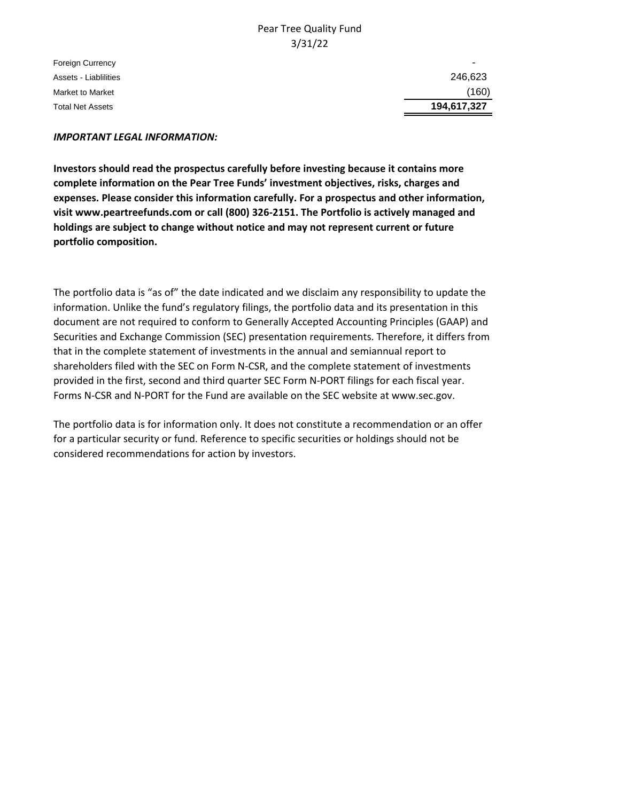### Pear Tree Quality Fund 3/31/22

Foreign Currency Assets - Liablilities Market to Market **Total Net Assets** 

| 246,623     |  |
|-------------|--|
| (160)       |  |
| 194,617,327 |  |

### *IMPORTANT LEGAL INFORMATION:*

**Investors should read the prospectus carefully before investing because it contains more complete information on the Pear Tree Funds' investment objectives, risks, charges and expenses. Please consider this information carefully. For a prospectus and other information, visit www.peartreefunds.com or call (800) 326-2151. The Portfolio is actively managed and holdings are subject to change without notice and may not represent current or future portfolio composition.**

The portfolio data is "as of" the date indicated and we disclaim any responsibility to update the information. Unlike the fund's regulatory filings, the portfolio data and its presentation in this document are not required to conform to Generally Accepted Accounting Principles (GAAP) and Securities and Exchange Commission (SEC) presentation requirements. Therefore, it differs from that in the complete statement of investments in the annual and semiannual report to shareholders filed with the SEC on Form N-CSR, and the complete statement of investments provided in the first, second and third quarter SEC Form N-PORT filings for each fiscal year. Forms N-CSR and N-PORT for the Fund are available on the SEC website at www.sec.gov.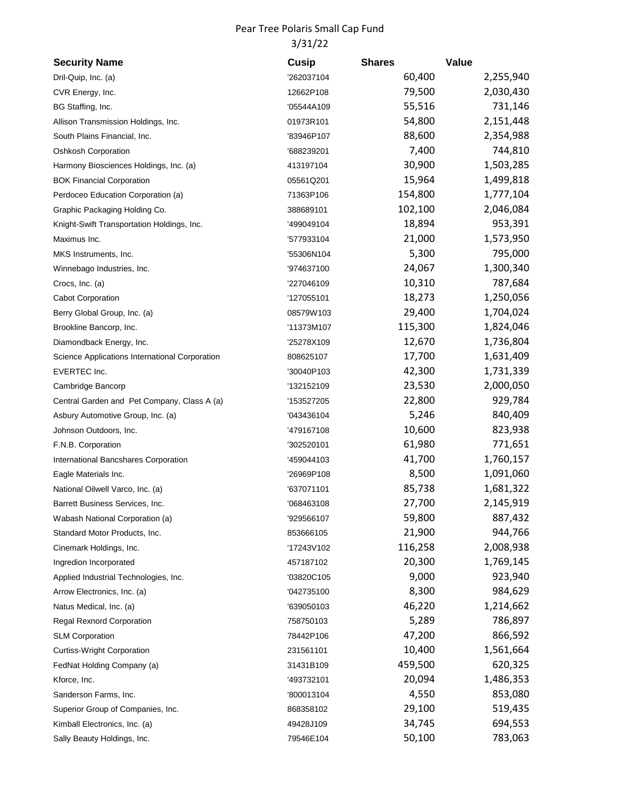## Pear Tree Polaris Small Cap Fund 3/31/22

| <b>Security Name</b>                           | <b>Cusip</b> | <b>Shares</b> | Value     |
|------------------------------------------------|--------------|---------------|-----------|
| Dril-Quip, Inc. (a)                            | '262037104   | 60,400        | 2,255,940 |
| CVR Energy, Inc.                               | 12662P108    | 79,500        | 2,030,430 |
| BG Staffing, Inc.                              | '05544A109   | 55,516        | 731,146   |
| Allison Transmission Holdings, Inc.            | 01973R101    | 54,800        | 2,151,448 |
| South Plains Financial, Inc.                   | '83946P107   | 88,600        | 2,354,988 |
| Oshkosh Corporation                            | '688239201   | 7,400         | 744,810   |
| Harmony Biosciences Holdings, Inc. (a)         | 413197104    | 30,900        | 1,503,285 |
| <b>BOK Financial Corporation</b>               | 05561Q201    | 15,964        | 1,499,818 |
| Perdoceo Education Corporation (a)             | 71363P106    | 154,800       | 1,777,104 |
| Graphic Packaging Holding Co.                  | 388689101    | 102,100       | 2,046,084 |
| Knight-Swift Transportation Holdings, Inc.     | '499049104   | 18,894        | 953,391   |
| Maximus Inc.                                   | '577933104   | 21,000        | 1,573,950 |
| MKS Instruments, Inc.                          | '55306N104   | 5,300         | 795,000   |
| Winnebago Industries, Inc.                     | '974637100   | 24,067        | 1,300,340 |
| Crocs, Inc. (a)                                | '227046109   | 10,310        | 787,684   |
| <b>Cabot Corporation</b>                       | '127055101   | 18,273        | 1,250,056 |
| Berry Global Group, Inc. (a)                   | 08579W103    | 29,400        | 1,704,024 |
| Brookline Bancorp, Inc.                        | '11373M107   | 115,300       | 1,824,046 |
| Diamondback Energy, Inc.                       | '25278X109   | 12,670        | 1,736,804 |
| Science Applications International Corporation | 808625107    | 17,700        | 1,631,409 |
| <b>EVERTEC Inc.</b>                            | '30040P103   | 42,300        | 1,731,339 |
| Cambridge Bancorp                              | '132152109   | 23,530        | 2,000,050 |
| Central Garden and Pet Company, Class A (a)    | '153527205   | 22,800        | 929,784   |
| Asbury Automotive Group, Inc. (a)              | '043436104   | 5,246         | 840,409   |
| Johnson Outdoors, Inc.                         | '479167108   | 10,600        | 823,938   |
| F.N.B. Corporation                             | '302520101   | 61,980        | 771,651   |
| International Bancshares Corporation           | '459044103   | 41,700        | 1,760,157 |
| Eagle Materials Inc.                           | '26969P108   | 8,500         | 1,091,060 |
| National Oilwell Varco, Inc. (a)               | '637071101   | 85,738        | 1,681,322 |
| Barrett Business Services, Inc.                | '068463108   | 27,700        | 2,145,919 |
| Wabash National Corporation (a)                | '929566107   | 59,800        | 887,432   |
| Standard Motor Products, Inc.                  | 853666105    | 21,900        | 944,766   |
| Cinemark Holdings, Inc.                        | '17243V102   | 116,258       | 2,008,938 |
| Ingredion Incorporated                         | 457187102    | 20,300        | 1,769,145 |
| Applied Industrial Technologies, Inc.          | '03820C105   | 9,000         | 923,940   |
| Arrow Electronics, Inc. (a)                    | '042735100   | 8,300         | 984,629   |
| Natus Medical, Inc. (a)                        | '639050103   | 46,220        | 1,214,662 |
| <b>Regal Rexnord Corporation</b>               | 758750103    | 5,289         | 786,897   |
| <b>SLM Corporation</b>                         | 78442P106    | 47,200        | 866,592   |
| <b>Curtiss-Wright Corporation</b>              | 231561101    | 10,400        | 1,561,664 |
| FedNat Holding Company (a)                     | 31431B109    | 459,500       | 620,325   |
| Kforce, Inc.                                   | '493732101   | 20,094        | 1,486,353 |
| Sanderson Farms, Inc.                          | '800013104   | 4,550         | 853,080   |
| Superior Group of Companies, Inc.              | 868358102    | 29,100        | 519,435   |
| Kimball Electronics, Inc. (a)                  | 49428J109    | 34,745        | 694,553   |
| Sally Beauty Holdings, Inc.                    | 79546E104    | 50,100        | 783,063   |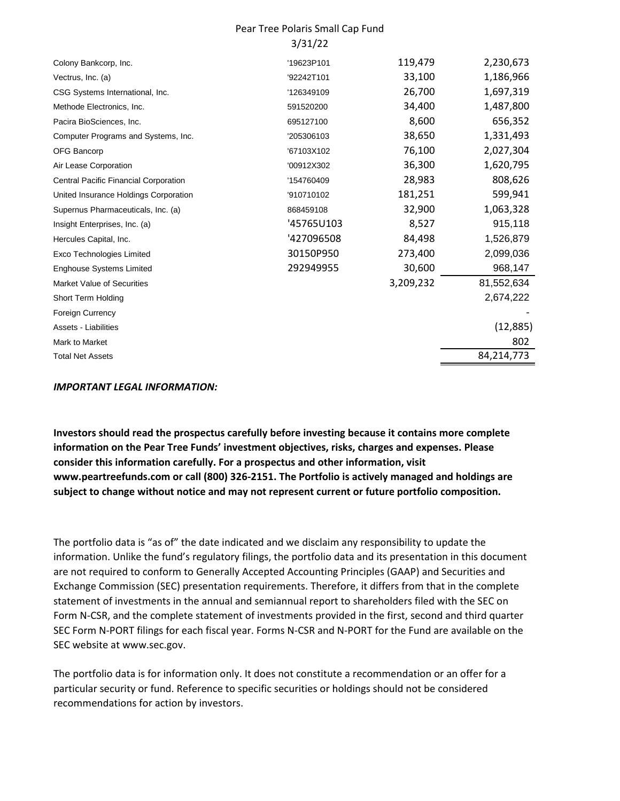#### Pear Tree Polaris Small Cap Fund 3/31/22

| Colony Bankcorp, Inc.                 | '19623P101 | 119,479   | 2,230,673  |
|---------------------------------------|------------|-----------|------------|
| Vectrus, Inc. (a)                     | '92242T101 | 33,100    | 1,186,966  |
| CSG Systems International, Inc.       | '126349109 | 26,700    | 1,697,319  |
| Methode Electronics, Inc.             | 591520200  | 34,400    | 1,487,800  |
| Pacira BioSciences, Inc.              | 695127100  | 8,600     | 656,352    |
| Computer Programs and Systems, Inc.   | '205306103 | 38,650    | 1,331,493  |
| <b>OFG Bancorp</b>                    | '67103X102 | 76,100    | 2,027,304  |
| Air Lease Corporation                 | '00912X302 | 36,300    | 1,620,795  |
| Central Pacific Financial Corporation | '154760409 | 28,983    | 808,626    |
| United Insurance Holdings Corporation | '910710102 | 181,251   | 599,941    |
| Supernus Pharmaceuticals, Inc. (a)    | 868459108  | 32,900    | 1,063,328  |
| Insight Enterprises, Inc. (a)         | '45765U103 | 8,527     | 915,118    |
| Hercules Capital, Inc.                | '427096508 | 84,498    | 1,526,879  |
| <b>Exco Technologies Limited</b>      | 30150P950  | 273,400   | 2,099,036  |
| <b>Enghouse Systems Limited</b>       | 292949955  | 30,600    | 968,147    |
| Market Value of Securities            |            | 3,209,232 | 81,552,634 |
| Short Term Holding                    |            |           | 2,674,222  |
| <b>Foreign Currency</b>               |            |           |            |
| Assets - Liabilities                  |            |           | (12, 885)  |
| Mark to Market                        |            |           | 802        |
| <b>Total Net Assets</b>               |            |           | 84,214,773 |

#### *IMPORTANT LEGAL INFORMATION:*

**Investors should read the prospectus carefully before investing because it contains more complete information on the Pear Tree Funds' investment objectives, risks, charges and expenses. Please consider this information carefully. For a prospectus and other information, visit www.peartreefunds.com or call (800) 326-2151. The Portfolio is actively managed and holdings are subject to change without notice and may not represent current or future portfolio composition.**

The portfolio data is "as of" the date indicated and we disclaim any responsibility to update the information. Unlike the fund's regulatory filings, the portfolio data and its presentation in this document are not required to conform to Generally Accepted Accounting Principles (GAAP) and Securities and Exchange Commission (SEC) presentation requirements. Therefore, it differs from that in the complete statement of investments in the annual and semiannual report to shareholders filed with the SEC on Form N-CSR, and the complete statement of investments provided in the first, second and third quarter SEC Form N-PORT filings for each fiscal year. Forms N-CSR and N-PORT for the Fund are available on the SEC website at www.sec.gov.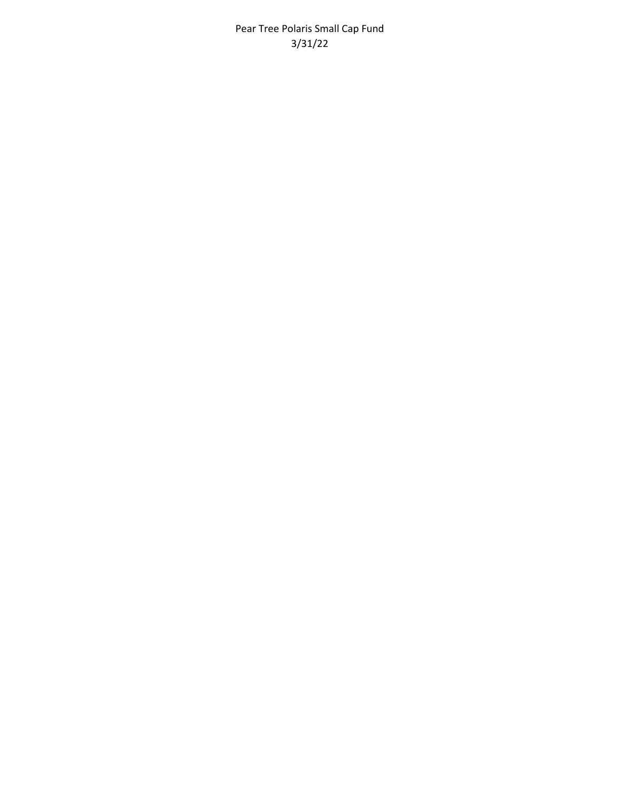Pear Tree Polaris Small Cap Fund 3/31/22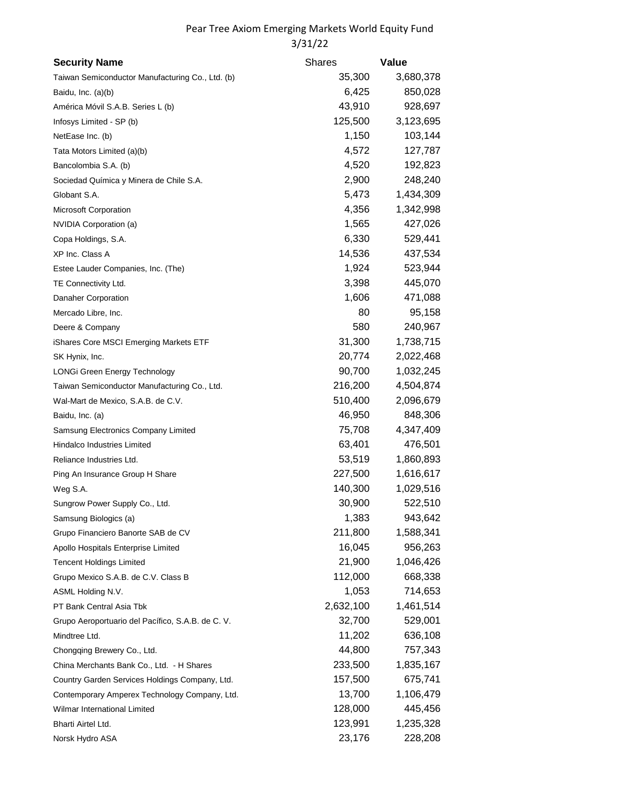| <b>Security Name</b>                             | <b>Shares</b> | Value     |
|--------------------------------------------------|---------------|-----------|
| Taiwan Semiconductor Manufacturing Co., Ltd. (b) | 35,300        | 3,680,378 |
| Baidu, Inc. (a)(b)                               | 6,425         | 850,028   |
| América Móvil S.A.B. Series L (b)                | 43,910        | 928,697   |
| Infosys Limited - SP (b)                         | 125,500       | 3,123,695 |
| NetEase Inc. (b)                                 | 1,150         | 103,144   |
| Tata Motors Limited (a)(b)                       | 4,572         | 127,787   |
| Bancolombia S.A. (b)                             | 4,520         | 192,823   |
| Sociedad Química y Minera de Chile S.A.          | 2,900         | 248,240   |
| Globant S.A.                                     | 5,473         | 1,434,309 |
| Microsoft Corporation                            | 4,356         | 1,342,998 |
| NVIDIA Corporation (a)                           | 1,565         | 427,026   |
| Copa Holdings, S.A.                              | 6,330         | 529,441   |
| XP Inc. Class A                                  | 14,536        | 437,534   |
| Estee Lauder Companies, Inc. (The)               | 1,924         | 523,944   |
| TE Connectivity Ltd.                             | 3,398         | 445,070   |
| Danaher Corporation                              | 1,606         | 471,088   |
| Mercado Libre, Inc.                              | 80            | 95,158    |
| Deere & Company                                  | 580           | 240,967   |
| iShares Core MSCI Emerging Markets ETF           | 31,300        | 1,738,715 |
| SK Hynix, Inc.                                   | 20,774        | 2,022,468 |
| LONGi Green Energy Technology                    | 90,700        | 1,032,245 |
| Taiwan Semiconductor Manufacturing Co., Ltd.     | 216,200       | 4,504,874 |
| Wal-Mart de Mexico, S.A.B. de C.V.               | 510,400       | 2,096,679 |
| Baidu, Inc. (a)                                  | 46,950        | 848,306   |
| Samsung Electronics Company Limited              | 75,708        | 4,347,409 |
| <b>Hindalco Industries Limited</b>               | 63,401        | 476,501   |
| Reliance Industries Ltd.                         | 53,519        | 1,860,893 |
| Ping An Insurance Group H Share                  | 227,500       | 1,616,617 |
| Weg S.A.                                         | 140,300       | 1,029,516 |
| Sungrow Power Supply Co., Ltd.                   | 30,900        | 522,510   |
| Samsung Biologics (a)                            | 1,383         | 943,642   |
| Grupo Financiero Banorte SAB de CV               | 211,800       | 1,588,341 |
| Apollo Hospitals Enterprise Limited              | 16,045        | 956,263   |
| <b>Tencent Holdings Limited</b>                  | 21,900        | 1,046,426 |
| Grupo Mexico S.A.B. de C.V. Class B              | 112,000       | 668,338   |
| ASML Holding N.V.                                | 1,053         | 714,653   |
| PT Bank Central Asia Tbk                         | 2,632,100     | 1,461,514 |
| Grupo Aeroportuario del Pacífico, S.A.B. de C.V. | 32,700        | 529,001   |
| Mindtree Ltd.                                    | 11,202        | 636,108   |
| Chongqing Brewery Co., Ltd.                      | 44,800        | 757,343   |
| China Merchants Bank Co., Ltd. - H Shares        | 233,500       | 1,835,167 |
| Country Garden Services Holdings Company, Ltd.   | 157,500       | 675,741   |
| Contemporary Amperex Technology Company, Ltd.    | 13,700        | 1,106,479 |
| Wilmar International Limited                     | 128,000       | 445,456   |
| Bharti Airtel Ltd.                               | 123,991       | 1,235,328 |
| Norsk Hydro ASA                                  | 23,176        | 228,208   |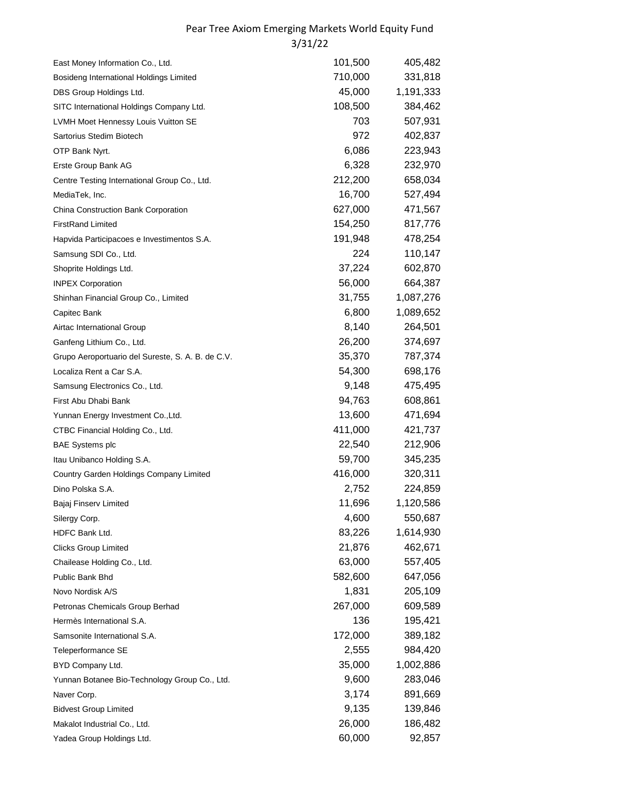| East Money Information Co., Ltd.                  | 101,500 | 405,482   |
|---------------------------------------------------|---------|-----------|
| Bosideng International Holdings Limited           | 710,000 | 331,818   |
| DBS Group Holdings Ltd.                           | 45,000  | 1,191,333 |
| SITC International Holdings Company Ltd.          | 108,500 | 384,462   |
| LVMH Moet Hennessy Louis Vuitton SE               | 703     | 507,931   |
| Sartorius Stedim Biotech                          | 972     | 402,837   |
| OTP Bank Nyrt.                                    | 6,086   | 223,943   |
| Erste Group Bank AG                               | 6,328   | 232,970   |
| Centre Testing International Group Co., Ltd.      | 212,200 | 658,034   |
| MediaTek, Inc.                                    | 16,700  | 527,494   |
| China Construction Bank Corporation               | 627,000 | 471,567   |
| <b>FirstRand Limited</b>                          | 154,250 | 817,776   |
| Hapvida Participacoes e Investimentos S.A.        | 191,948 | 478,254   |
| Samsung SDI Co., Ltd.                             | 224     | 110,147   |
| Shoprite Holdings Ltd.                            | 37,224  | 602,870   |
| <b>INPEX Corporation</b>                          | 56,000  | 664,387   |
| Shinhan Financial Group Co., Limited              | 31,755  | 1,087,276 |
| Capitec Bank                                      | 6,800   | 1,089,652 |
| Airtac International Group                        | 8,140   | 264,501   |
| Ganfeng Lithium Co., Ltd.                         | 26,200  | 374,697   |
| Grupo Aeroportuario del Sureste, S. A. B. de C.V. | 35,370  | 787,374   |
| Localiza Rent a Car S.A.                          | 54,300  | 698,176   |
| Samsung Electronics Co., Ltd.                     | 9,148   | 475,495   |
| First Abu Dhabi Bank                              | 94,763  | 608,861   |
| Yunnan Energy Investment Co., Ltd.                | 13,600  | 471,694   |
| CTBC Financial Holding Co., Ltd.                  | 411,000 | 421,737   |
| <b>BAE Systems plc</b>                            | 22,540  | 212,906   |
| Itau Unibanco Holding S.A.                        | 59,700  | 345,235   |
| Country Garden Holdings Company Limited           | 416,000 | 320,311   |
| Dino Polska S.A.                                  | 2,752   | 224,859   |
| Bajaj Finserv Limited                             | 11,696  | 1,120,586 |
| Silergy Corp.                                     | 4,600   | 550,687   |
| HDFC Bank Ltd.                                    | 83,226  | 1,614,930 |
| <b>Clicks Group Limited</b>                       | 21,876  | 462,671   |
| Chailease Holding Co., Ltd.                       | 63,000  | 557,405   |
| Public Bank Bhd                                   | 582,600 | 647,056   |
| Novo Nordisk A/S                                  | 1,831   | 205,109   |
| Petronas Chemicals Group Berhad                   | 267,000 | 609,589   |
| Hermès International S.A.                         | 136     | 195,421   |
| Samsonite International S.A.                      | 172,000 | 389,182   |
| Teleperformance SE                                | 2,555   | 984,420   |
| BYD Company Ltd.                                  | 35,000  | 1,002,886 |
| Yunnan Botanee Bio-Technology Group Co., Ltd.     | 9,600   | 283,046   |
| Naver Corp.                                       | 3,174   | 891,669   |
| <b>Bidvest Group Limited</b>                      | 9,135   | 139,846   |
| Makalot Industrial Co., Ltd.                      | 26,000  | 186,482   |
| Yadea Group Holdings Ltd.                         | 60,000  | 92,857    |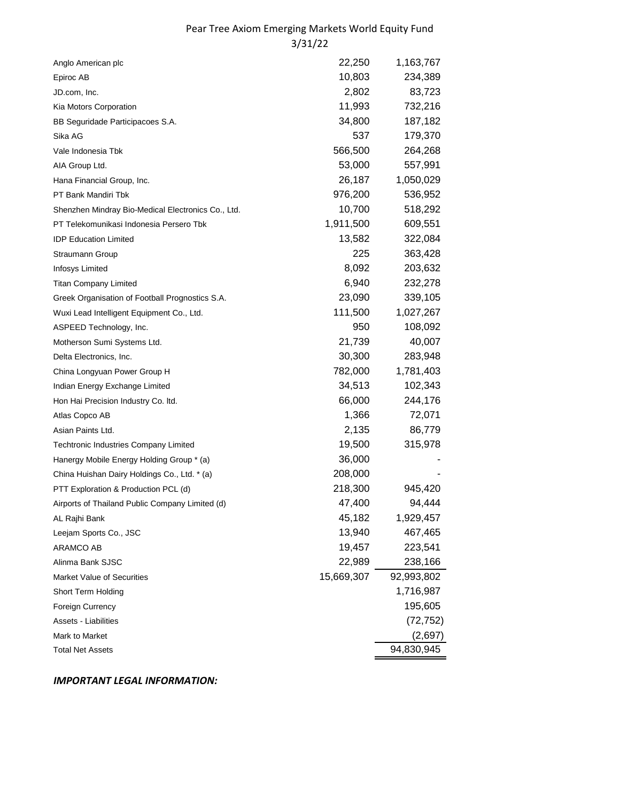| Anglo American plc                                 | 22,250     | 1,163,767  |
|----------------------------------------------------|------------|------------|
| Epiroc AB                                          | 10,803     | 234,389    |
| JD.com, Inc.                                       | 2,802      | 83,723     |
| Kia Motors Corporation                             | 11,993     | 732,216    |
| BB Seguridade Participacoes S.A.                   | 34,800     | 187,182    |
| Sika AG                                            | 537        | 179,370    |
| Vale Indonesia Tbk                                 | 566,500    | 264,268    |
| AIA Group Ltd.                                     | 53,000     | 557,991    |
| Hana Financial Group, Inc.                         | 26,187     | 1,050,029  |
| PT Bank Mandiri Tbk                                | 976,200    | 536,952    |
| Shenzhen Mindray Bio-Medical Electronics Co., Ltd. | 10,700     | 518,292    |
| PT Telekomunikasi Indonesia Persero Tbk            | 1,911,500  | 609,551    |
| <b>IDP Education Limited</b>                       | 13,582     | 322,084    |
| Straumann Group                                    | 225        | 363,428    |
| Infosys Limited                                    | 8,092      | 203,632    |
| <b>Titan Company Limited</b>                       | 6,940      | 232,278    |
| Greek Organisation of Football Prognostics S.A.    | 23,090     | 339,105    |
| Wuxi Lead Intelligent Equipment Co., Ltd.          | 111,500    | 1,027,267  |
| ASPEED Technology, Inc.                            | 950        | 108,092    |
| Motherson Sumi Systems Ltd.                        | 21,739     | 40,007     |
| Delta Electronics, Inc.                            | 30,300     | 283,948    |
| China Longyuan Power Group H                       | 782,000    | 1,781,403  |
| Indian Energy Exchange Limited                     | 34,513     | 102,343    |
| Hon Hai Precision Industry Co. Itd.                | 66,000     | 244,176    |
| Atlas Copco AB                                     | 1,366      | 72,071     |
| Asian Paints Ltd.                                  | 2,135      | 86,779     |
| Techtronic Industries Company Limited              | 19,500     | 315,978    |
| Hanergy Mobile Energy Holding Group * (a)          | 36,000     |            |
| China Huishan Dairy Holdings Co., Ltd. * (a)       | 208,000    |            |
| PTT Exploration & Production PCL (d)               | 218,300    | 945,420    |
| Airports of Thailand Public Company Limited (d)    | 47,400     | 94,444     |
| AL Rajhi Bank                                      | 45,182     | 1,929,457  |
| Leejam Sports Co., JSC                             | 13,940     | 467,465    |
| <b>ARAMCO AB</b>                                   | 19,457     | 223,541    |
| Alinma Bank SJSC                                   | 22,989     | 238,166    |
| Market Value of Securities                         | 15,669,307 | 92,993,802 |
| Short Term Holding                                 |            | 1,716,987  |
| Foreign Currency                                   |            | 195,605    |
| Assets - Liabilities                               |            | (72, 752)  |
| Mark to Market                                     |            | (2,697)    |
| <b>Total Net Assets</b>                            |            | 94,830,945 |
|                                                    |            |            |

*IMPORTANT LEGAL INFORMATION:*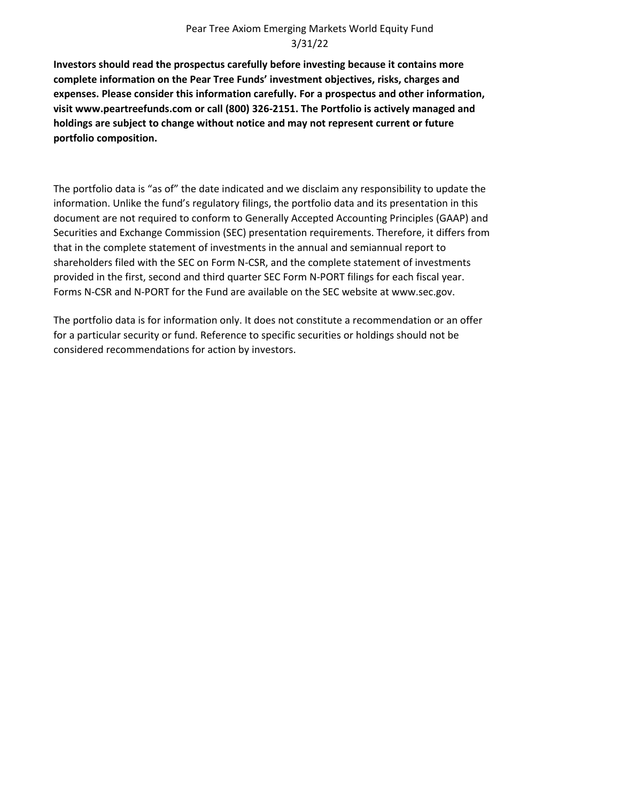**Investors should read the prospectus carefully before investing because it contains more complete information on the Pear Tree Funds' investment objectives, risks, charges and expenses. Please consider this information carefully. For a prospectus and other information, visit www.peartreefunds.com or call (800) 326-2151. The Portfolio is actively managed and holdings are subject to change without notice and may not represent current or future portfolio composition.**

The portfolio data is "as of" the date indicated and we disclaim any responsibility to update the information. Unlike the fund's regulatory filings, the portfolio data and its presentation in this document are not required to conform to Generally Accepted Accounting Principles (GAAP) and Securities and Exchange Commission (SEC) presentation requirements. Therefore, it differs from that in the complete statement of investments in the annual and semiannual report to shareholders filed with the SEC on Form N-CSR, and the complete statement of investments provided in the first, second and third quarter SEC Form N-PORT filings for each fiscal year. Forms N-CSR and N-PORT for the Fund are available on the SEC website at www.sec.gov.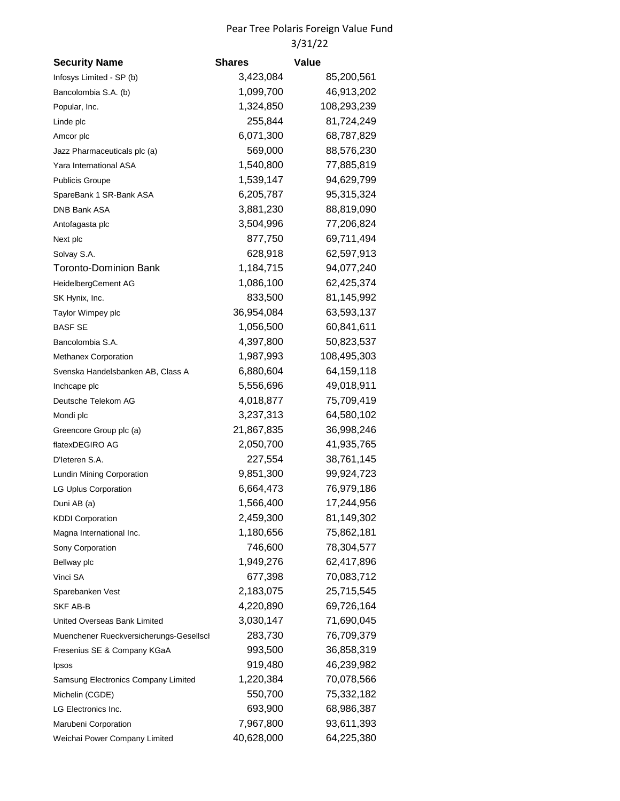## Pear Tree Polaris Foreign Value Fund 3/31/22

| <b>Security Name</b>                    | <b>Shares</b> | <b>Value</b> |
|-----------------------------------------|---------------|--------------|
| Infosys Limited - SP (b)                | 3,423,084     | 85,200,561   |
| Bancolombia S.A. (b)                    | 1,099,700     | 46,913,202   |
| Popular, Inc.                           | 1,324,850     | 108,293,239  |
| Linde plc                               | 255,844       | 81,724,249   |
| Amcor plc                               | 6,071,300     | 68,787,829   |
| Jazz Pharmaceuticals plc (a)            | 569,000       | 88,576,230   |
| Yara International ASA                  | 1,540,800     | 77,885,819   |
| <b>Publicis Groupe</b>                  | 1,539,147     | 94,629,799   |
| SpareBank 1 SR-Bank ASA                 | 6,205,787     | 95,315,324   |
| DNB Bank ASA                            | 3,881,230     | 88,819,090   |
| Antofagasta plc                         | 3,504,996     | 77,206,824   |
| Next plc                                | 877,750       | 69,711,494   |
| Solvay S.A.                             | 628,918       | 62,597,913   |
| <b>Toronto-Dominion Bank</b>            | 1,184,715     | 94,077,240   |
| HeidelbergCement AG                     | 1,086,100     | 62,425,374   |
| SK Hynix, Inc.                          | 833,500       | 81,145,992   |
| Taylor Wimpey plc                       | 36,954,084    | 63,593,137   |
| <b>BASF SE</b>                          | 1,056,500     | 60,841,611   |
| Bancolombia S.A.                        | 4,397,800     | 50,823,537   |
| Methanex Corporation                    | 1,987,993     | 108,495,303  |
| Svenska Handelsbanken AB, Class A       | 6,880,604     | 64,159,118   |
| Inchcape plc                            | 5,556,696     | 49,018,911   |
| Deutsche Telekom AG                     | 4,018,877     | 75,709,419   |
| Mondi plc                               | 3,237,313     | 64,580,102   |
| Greencore Group plc (a)                 | 21,867,835    | 36,998,246   |
| flatexDEGIRO AG                         | 2,050,700     | 41,935,765   |
| D'Ieteren S.A.                          | 227,554       | 38,761,145   |
| Lundin Mining Corporation               | 9,851,300     | 99,924,723   |
| LG Uplus Corporation                    | 6,664,473     | 76,979,186   |
| Duni AB (a)                             | 1,566,400     | 17,244,956   |
| <b>KDDI Corporation</b>                 | 2,459,300     | 81,149,302   |
| Magna International Inc.                | 1,180,656     | 75,862,181   |
| Sony Corporation                        | 746,600       | 78,304,577   |
| Bellway plc                             | 1,949,276     | 62,417,896   |
| Vinci SA                                | 677,398       | 70,083,712   |
| Sparebanken Vest                        | 2,183,075     | 25,715,545   |
| SKF AB-B                                | 4,220,890     | 69,726,164   |
| United Overseas Bank Limited            | 3,030,147     | 71,690,045   |
| Muenchener Rueckversicherungs-Gesellsch | 283,730       | 76,709,379   |
| Fresenius SE & Company KGaA             | 993,500       | 36,858,319   |
| Ipsos                                   | 919,480       | 46,239,982   |
| Samsung Electronics Company Limited     | 1,220,384     | 70,078,566   |
| Michelin (CGDE)                         | 550,700       | 75,332,182   |
| LG Electronics Inc.                     | 693,900       | 68,986,387   |
| Marubeni Corporation                    | 7,967,800     | 93,611,393   |
| Weichai Power Company Limited           | 40,628,000    | 64,225,380   |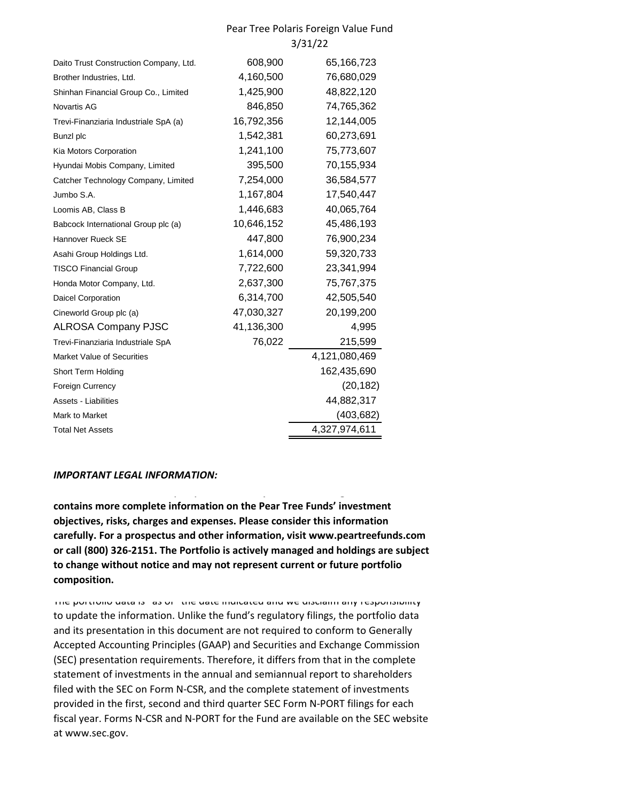#### Pear Tree Polaris Foreign Value Fund 3/31/22

| Daito Trust Construction Company, Ltd. | 608,900    | 65,166,723    |
|----------------------------------------|------------|---------------|
| Brother Industries, Ltd.               | 4,160,500  | 76,680,029    |
| Shinhan Financial Group Co., Limited   | 1,425,900  | 48,822,120    |
| Novartis AG                            | 846,850    | 74,765,362    |
| Trevi-Finanziaria Industriale SpA (a)  | 16,792,356 | 12,144,005    |
| Bunzl plc                              | 1,542,381  | 60,273,691    |
| Kia Motors Corporation                 | 1,241,100  | 75,773,607    |
| Hyundai Mobis Company, Limited         | 395,500    | 70,155,934    |
| Catcher Technology Company, Limited    | 7,254,000  | 36,584,577    |
| Jumbo S.A.                             | 1,167,804  | 17,540,447    |
| Loomis AB, Class B                     | 1,446,683  | 40,065,764    |
| Babcock International Group plc (a)    | 10,646,152 | 45,486,193    |
| Hannover Rueck SE                      | 447,800    | 76,900,234    |
| Asahi Group Holdings Ltd.              | 1,614,000  | 59,320,733    |
| <b>TISCO Financial Group</b>           | 7,722,600  | 23,341,994    |
| Honda Motor Company, Ltd.              | 2,637,300  | 75,767,375    |
| <b>Daicel Corporation</b>              | 6,314,700  | 42,505,540    |
| Cineworld Group plc (a)                | 47,030,327 | 20,199,200    |
| <b>ALROSA Company PJSC</b>             | 41,136,300 | 4,995         |
| Trevi-Finanziaria Industriale SpA      | 76,022     | 215,599       |
| <b>Market Value of Securities</b>      |            | 4,121,080,469 |
| Short Term Holding                     |            | 162,435,690   |
| <b>Foreign Currency</b>                |            | (20, 182)     |
| <b>Assets - Liabilities</b>            |            | 44,882,317    |
| Mark to Market                         |            | (403, 682)    |
| <b>Total Net Assets</b>                |            | 4,327,974,611 |

#### *IMPORTANT LEGAL INFORMATION:*

**contains more complete information on the Pear Tree Funds' investment objectives, risks, charges and expenses. Please consider this information carefully. For a prospectus and other information, visit www.peartreefunds.com or call (800) 326-2151. The Portfolio is actively managed and holdings are subject to change without notice and may not represent current or future portfolio composition.**

**Investors should read the prospectus carefully before investing because it** 

The portfolio data is "as of" the date indicated and we disclaim any responsibility to update the information. Unlike the fund's regulatory filings, the portfolio data and its presentation in this document are not required to conform to Generally Accepted Accounting Principles (GAAP) and Securities and Exchange Commission (SEC) presentation requirements. Therefore, it differs from that in the complete statement of investments in the annual and semiannual report to shareholders filed with the SEC on Form N-CSR, and the complete statement of investments provided in the first, second and third quarter SEC Form N-PORT filings for each fiscal year. Forms N-CSR and N-PORT for the Fund are available on the SEC website at www.sec.gov.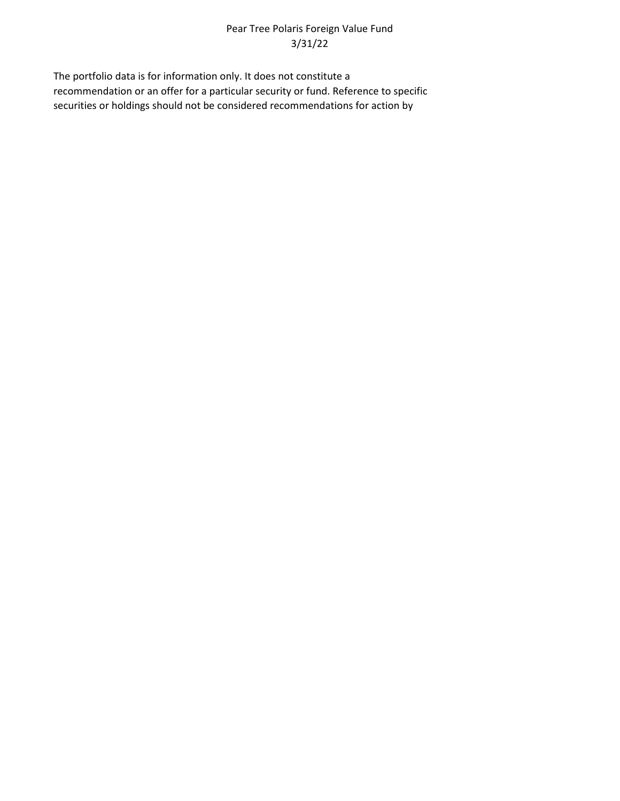## Pear Tree Polaris Foreign Value Fund 3/31/22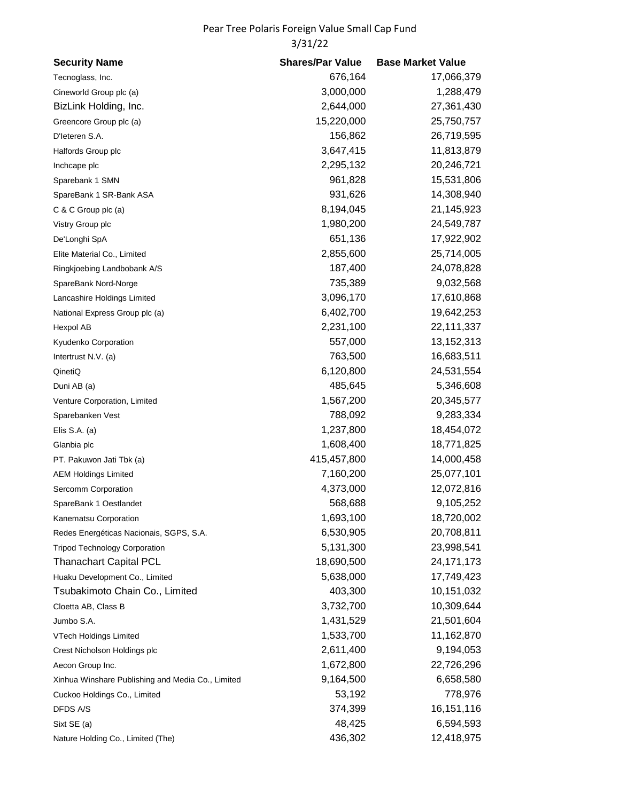# Pear Tree Polaris Foreign Value Small Cap Fund 3/31/22

| <b>Security Name</b>                              | <b>Shares/Par Value</b> | <b>Base Market Value</b> |
|---------------------------------------------------|-------------------------|--------------------------|
| Tecnoglass, Inc.                                  | 676,164                 | 17,066,379               |
| Cineworld Group plc (a)                           | 3,000,000               | 1,288,479                |
| BizLink Holding, Inc.                             | 2,644,000               | 27,361,430               |
| Greencore Group plc (a)                           | 15,220,000              | 25,750,757               |
| D'Ieteren S.A.                                    | 156,862                 | 26,719,595               |
| Halfords Group plc                                | 3,647,415               | 11,813,879               |
| Inchcape plc                                      | 2,295,132               | 20,246,721               |
| Sparebank 1 SMN                                   | 961,828                 | 15,531,806               |
| SpareBank 1 SR-Bank ASA                           | 931,626                 | 14,308,940               |
| C & C Group plc (a)                               | 8,194,045               | 21,145,923               |
| Vistry Group plc                                  | 1,980,200               | 24,549,787               |
| De'Longhi SpA                                     | 651,136                 | 17,922,902               |
| Elite Material Co., Limited                       | 2,855,600               | 25,714,005               |
| Ringkjoebing Landbobank A/S                       | 187,400                 | 24,078,828               |
| SpareBank Nord-Norge                              | 735,389                 | 9,032,568                |
| Lancashire Holdings Limited                       | 3,096,170               | 17,610,868               |
| National Express Group plc (a)                    | 6,402,700               | 19,642,253               |
| Hexpol AB                                         | 2,231,100               | 22,111,337               |
| Kyudenko Corporation                              | 557,000                 | 13, 152, 313             |
| Intertrust N.V. (a)                               | 763,500                 | 16,683,511               |
| QinetiQ                                           | 6,120,800               | 24,531,554               |
| Duni AB (a)                                       | 485,645                 | 5,346,608                |
| Venture Corporation, Limited                      | 1,567,200               | 20,345,577               |
| Sparebanken Vest                                  | 788,092                 | 9,283,334                |
| Elis S.A. $(a)$                                   | 1,237,800               | 18,454,072               |
| Glanbia plc                                       | 1,608,400               | 18,771,825               |
| PT. Pakuwon Jati Tbk (a)                          | 415,457,800             | 14,000,458               |
| <b>AEM Holdings Limited</b>                       | 7,160,200               | 25,077,101               |
| Sercomm Corporation                               | 4,373,000               | 12,072,816               |
| SpareBank 1 Oestlandet                            | 568,688                 | 9,105,252                |
| Kanematsu Corporation                             | 1,693,100               | 18,720,002               |
| Redes Energéticas Nacionais, SGPS, S.A.           | 6,530,905               | 20,708,811               |
| <b>Tripod Technology Corporation</b>              | 5,131,300               | 23,998,541               |
| <b>Thanachart Capital PCL</b>                     | 18,690,500              | 24, 171, 173             |
| Huaku Development Co., Limited                    | 5,638,000               | 17,749,423               |
| Tsubakimoto Chain Co., Limited                    | 403,300                 | 10,151,032               |
| Cloetta AB, Class B                               | 3,732,700               | 10,309,644               |
| Jumbo S.A.                                        | 1,431,529               | 21,501,604               |
| <b>VTech Holdings Limited</b>                     | 1,533,700               | 11,162,870               |
| Crest Nicholson Holdings plc                      | 2,611,400               | 9,194,053                |
| Aecon Group Inc.                                  | 1,672,800               | 22,726,296               |
| Xinhua Winshare Publishing and Media Co., Limited | 9,164,500               | 6,658,580                |
| Cuckoo Holdings Co., Limited                      | 53,192                  | 778,976                  |
| DFDS A/S                                          | 374,399                 | 16,151,116               |
| Sixt SE (a)                                       | 48,425                  | 6,594,593                |
| Nature Holding Co., Limited (The)                 | 436,302                 | 12,418,975               |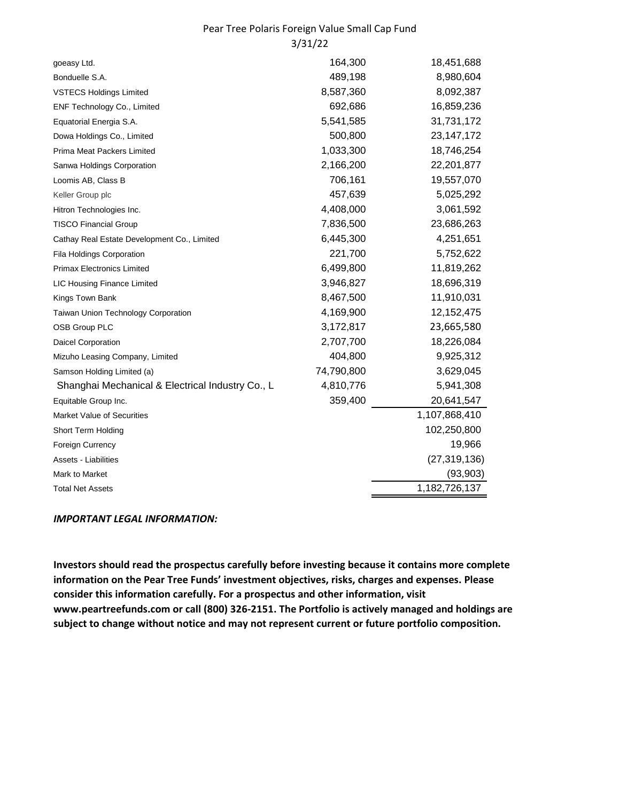### Pear Tree Polaris Foreign Value Small Cap Fund 3/31/22

| goeasy Ltd.                                      | 164,300    | 18,451,688     |
|--------------------------------------------------|------------|----------------|
| Bonduelle S.A.                                   | 489,198    | 8,980,604      |
| <b>VSTECS Holdings Limited</b>                   | 8,587,360  | 8,092,387      |
| ENF Technology Co., Limited                      | 692,686    | 16,859,236     |
| Equatorial Energia S.A.                          | 5,541,585  | 31,731,172     |
| Dowa Holdings Co., Limited                       | 500,800    | 23, 147, 172   |
| Prima Meat Packers Limited                       | 1,033,300  | 18,746,254     |
| Sanwa Holdings Corporation                       | 2,166,200  | 22,201,877     |
| Loomis AB, Class B                               | 706,161    | 19,557,070     |
| Keller Group plc                                 | 457,639    | 5,025,292      |
| Hitron Technologies Inc.                         | 4,408,000  | 3,061,592      |
| <b>TISCO Financial Group</b>                     | 7,836,500  | 23,686,263     |
| Cathay Real Estate Development Co., Limited      | 6,445,300  | 4,251,651      |
| Fila Holdings Corporation                        | 221,700    | 5,752,622      |
| <b>Primax Electronics Limited</b>                | 6,499,800  | 11,819,262     |
| LIC Housing Finance Limited                      | 3,946,827  | 18,696,319     |
| Kings Town Bank                                  | 8,467,500  | 11,910,031     |
| Taiwan Union Technology Corporation              | 4,169,900  | 12,152,475     |
| OSB Group PLC                                    | 3,172,817  | 23,665,580     |
| <b>Daicel Corporation</b>                        | 2,707,700  | 18,226,084     |
| Mizuho Leasing Company, Limited                  | 404,800    | 9,925,312      |
| Samson Holding Limited (a)                       | 74,790,800 | 3,629,045      |
| Shanghai Mechanical & Electrical Industry Co., L | 4,810,776  | 5,941,308      |
| Equitable Group Inc.                             | 359,400    | 20,641,547     |
| <b>Market Value of Securities</b>                |            | 1,107,868,410  |
| Short Term Holding                               |            | 102,250,800    |
| Foreign Currency                                 |            | 19,966         |
| Assets - Liabilities                             |            | (27, 319, 136) |
| Mark to Market                                   |            | (93,903)       |
| <b>Total Net Assets</b>                          |            | 1,182,726,137  |
|                                                  |            |                |

#### *IMPORTANT LEGAL INFORMATION:*

**Investors should read the prospectus carefully before investing because it contains more complete information on the Pear Tree Funds' investment objectives, risks, charges and expenses. Please consider this information carefully. For a prospectus and other information, visit www.peartreefunds.com or call (800) 326-2151. The Portfolio is actively managed and holdings are subject to change without notice and may not represent current or future portfolio composition.**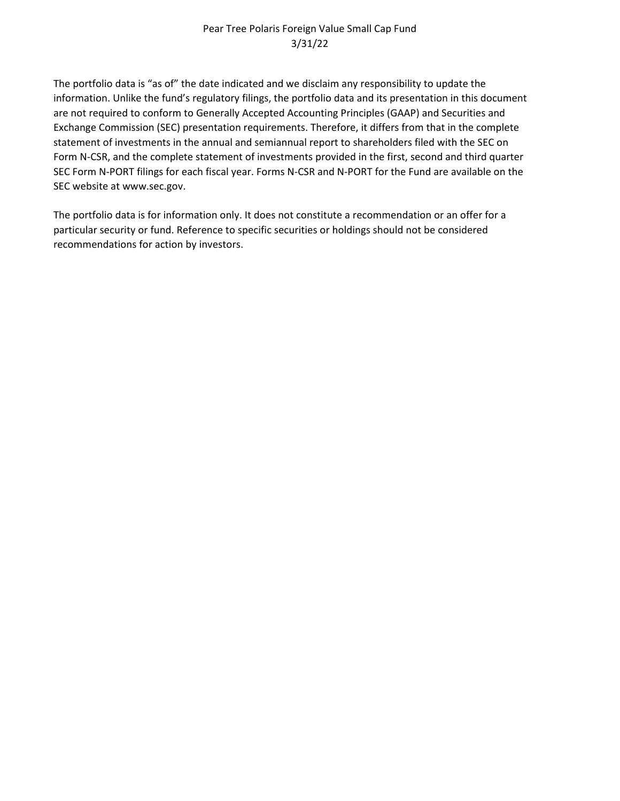### Pear Tree Polaris Foreign Value Small Cap Fund 3/31/22

The portfolio data is "as of" the date indicated and we disclaim any responsibility to update the information. Unlike the fund's regulatory filings, the portfolio data and its presentation in this document are not required to conform to Generally Accepted Accounting Principles (GAAP) and Securities and Exchange Commission (SEC) presentation requirements. Therefore, it differs from that in the complete statement of investments in the annual and semiannual report to shareholders filed with the SEC on Form N-CSR, and the complete statement of investments provided in the first, second and third quarter SEC Form N-PORT filings for each fiscal year. Forms N-CSR and N-PORT for the Fund are available on the SEC website at www.sec.gov.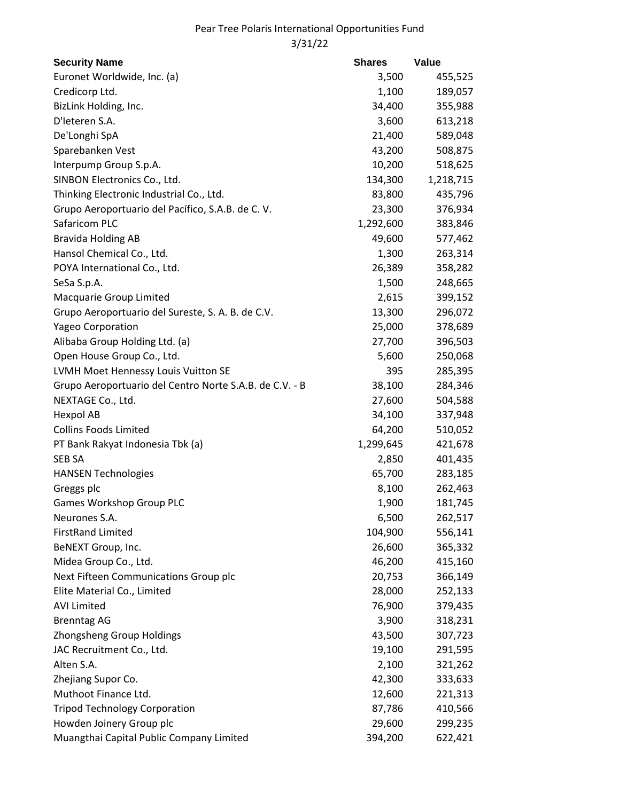# Pear Tree Polaris International Opportunities Fund 3/31/22

| <b>Security Name</b>                                    | <b>Shares</b> | Value     |
|---------------------------------------------------------|---------------|-----------|
| Euronet Worldwide, Inc. (a)                             | 3,500         | 455,525   |
| Credicorp Ltd.                                          | 1,100         | 189,057   |
| BizLink Holding, Inc.                                   | 34,400        | 355,988   |
| D'Ieteren S.A.                                          | 3,600         | 613,218   |
| De'Longhi SpA                                           | 21,400        | 589,048   |
| Sparebanken Vest                                        | 43,200        | 508,875   |
| Interpump Group S.p.A.                                  | 10,200        | 518,625   |
| SINBON Electronics Co., Ltd.                            | 134,300       | 1,218,715 |
| Thinking Electronic Industrial Co., Ltd.                | 83,800        | 435,796   |
| Grupo Aeroportuario del Pacífico, S.A.B. de C.V.        | 23,300        | 376,934   |
| Safaricom PLC                                           | 1,292,600     | 383,846   |
| <b>Bravida Holding AB</b>                               | 49,600        | 577,462   |
| Hansol Chemical Co., Ltd.                               | 1,300         | 263,314   |
| POYA International Co., Ltd.                            | 26,389        | 358,282   |
| SeSa S.p.A.                                             | 1,500         | 248,665   |
| Macquarie Group Limited                                 | 2,615         | 399,152   |
| Grupo Aeroportuario del Sureste, S. A. B. de C.V.       | 13,300        | 296,072   |
| <b>Yageo Corporation</b>                                | 25,000        | 378,689   |
| Alibaba Group Holding Ltd. (a)                          | 27,700        | 396,503   |
| Open House Group Co., Ltd.                              | 5,600         | 250,068   |
| LVMH Moet Hennessy Louis Vuitton SE                     | 395           | 285,395   |
| Grupo Aeroportuario del Centro Norte S.A.B. de C.V. - B | 38,100        | 284,346   |
| NEXTAGE Co., Ltd.                                       | 27,600        | 504,588   |
| Hexpol AB                                               | 34,100        | 337,948   |
| <b>Collins Foods Limited</b>                            | 64,200        | 510,052   |
| PT Bank Rakyat Indonesia Tbk (a)                        | 1,299,645     | 421,678   |
| SEB SA                                                  | 2,850         | 401,435   |
| <b>HANSEN Technologies</b>                              | 65,700        | 283,185   |
| Greggs plc                                              | 8,100         | 262,463   |
| <b>Games Workshop Group PLC</b>                         | 1,900         | 181,745   |
| Neurones S.A.                                           | 6,500         | 262,517   |
| <b>FirstRand Limited</b>                                | 104,900       | 556,141   |
| BeNEXT Group, Inc.                                      | 26,600        | 365,332   |
| Midea Group Co., Ltd.                                   | 46,200        | 415,160   |
| Next Fifteen Communications Group plc                   | 20,753        | 366,149   |
| Elite Material Co., Limited                             | 28,000        | 252,133   |
| <b>AVI Limited</b>                                      | 76,900        | 379,435   |
| <b>Brenntag AG</b>                                      | 3,900         | 318,231   |
| Zhongsheng Group Holdings                               | 43,500        | 307,723   |
| JAC Recruitment Co., Ltd.                               | 19,100        | 291,595   |
| Alten S.A.                                              | 2,100         | 321,262   |
| Zhejiang Supor Co.                                      | 42,300        | 333,633   |
| Muthoot Finance Ltd.                                    | 12,600        | 221,313   |
| <b>Tripod Technology Corporation</b>                    | 87,786        | 410,566   |
| Howden Joinery Group plc                                | 29,600        | 299,235   |
| Muangthai Capital Public Company Limited                | 394,200       | 622,421   |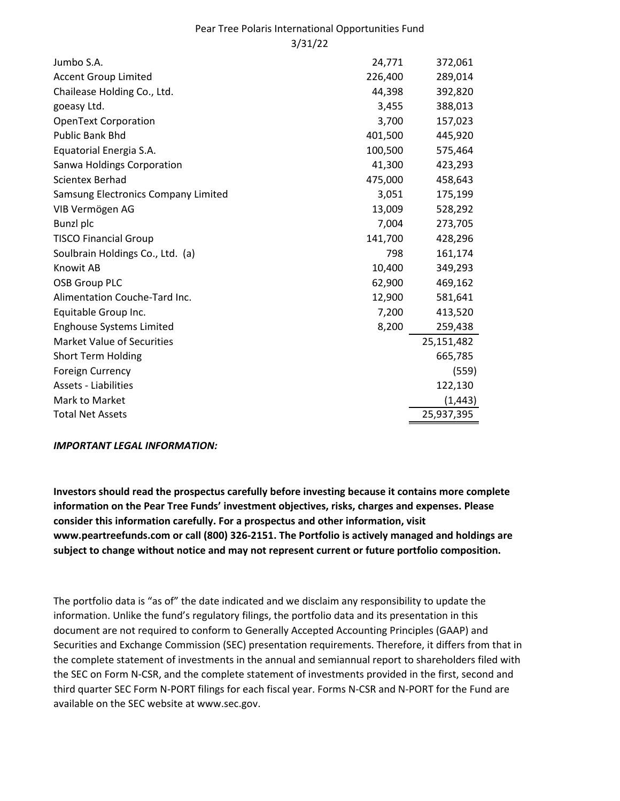### Pear Tree Polaris International Opportunities Fund 3/31/22

| Jumbo S.A.                          | 24,771  | 372,061    |
|-------------------------------------|---------|------------|
| <b>Accent Group Limited</b>         | 226,400 | 289,014    |
| Chailease Holding Co., Ltd.         | 44,398  | 392,820    |
| goeasy Ltd.                         | 3,455   | 388,013    |
| <b>OpenText Corporation</b>         | 3,700   | 157,023    |
| <b>Public Bank Bhd</b>              | 401,500 | 445,920    |
| Equatorial Energia S.A.             | 100,500 | 575,464    |
| Sanwa Holdings Corporation          | 41,300  | 423,293    |
| Scientex Berhad                     | 475,000 | 458,643    |
| Samsung Electronics Company Limited | 3,051   | 175,199    |
| VIB Vermögen AG                     | 13,009  | 528,292    |
| <b>Bunzl</b> plc                    | 7,004   | 273,705    |
| <b>TISCO Financial Group</b>        | 141,700 | 428,296    |
| Soulbrain Holdings Co., Ltd. (a)    | 798     | 161,174    |
| <b>Knowit AB</b>                    | 10,400  | 349,293    |
| <b>OSB Group PLC</b>                | 62,900  | 469,162    |
| Alimentation Couche-Tard Inc.       | 12,900  | 581,641    |
| Equitable Group Inc.                | 7,200   | 413,520    |
| <b>Enghouse Systems Limited</b>     | 8,200   | 259,438    |
| <b>Market Value of Securities</b>   |         | 25,151,482 |
| <b>Short Term Holding</b>           |         | 665,785    |
| <b>Foreign Currency</b>             |         | (559)      |
| <b>Assets - Liabilities</b>         |         | 122,130    |
| Mark to Market                      |         | (1, 443)   |
| <b>Total Net Assets</b>             |         | 25,937,395 |

#### *IMPORTANT LEGAL INFORMATION:*

**Investors should read the prospectus carefully before investing because it contains more complete information on the Pear Tree Funds' investment objectives, risks, charges and expenses. Please consider this information carefully. For a prospectus and other information, visit www.peartreefunds.com or call (800) 326-2151. The Portfolio is actively managed and holdings are subject to change without notice and may not represent current or future portfolio composition.**

The portfolio data is "as of" the date indicated and we disclaim any responsibility to update the information. Unlike the fund's regulatory filings, the portfolio data and its presentation in this document are not required to conform to Generally Accepted Accounting Principles (GAAP) and Securities and Exchange Commission (SEC) presentation requirements. Therefore, it differs from that in the complete statement of investments in the annual and semiannual report to shareholders filed with the SEC on Form N-CSR, and the complete statement of investments provided in the first, second and third quarter SEC Form N-PORT filings for each fiscal year. Forms N-CSR and N-PORT for the Fund are available on the SEC website at www.sec.gov.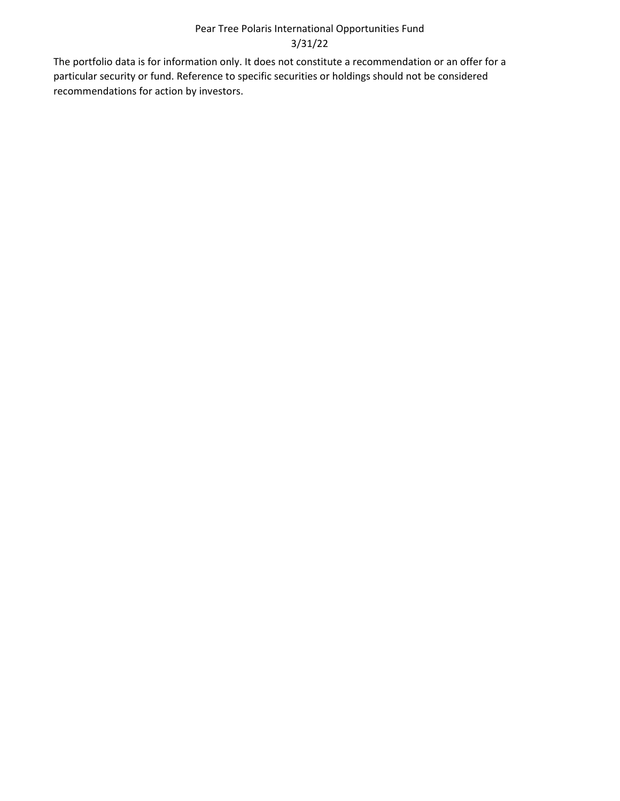## Pear Tree Polaris International Opportunities Fund 3/31/22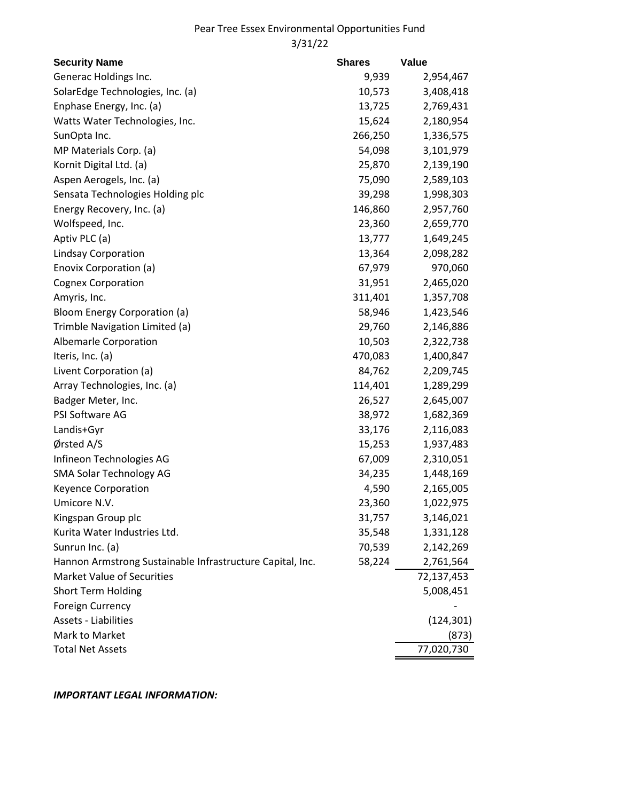## Pear Tree Essex Environmental Opportunities Fund 3/31/22

| <b>Security Name</b>                                      | <b>Shares</b> | <b>Value</b> |
|-----------------------------------------------------------|---------------|--------------|
| Generac Holdings Inc.                                     | 9,939         | 2,954,467    |
| SolarEdge Technologies, Inc. (a)                          | 10,573        | 3,408,418    |
| Enphase Energy, Inc. (a)                                  | 13,725        | 2,769,431    |
| Watts Water Technologies, Inc.                            | 15,624        | 2,180,954    |
| SunOpta Inc.                                              | 266,250       | 1,336,575    |
| MP Materials Corp. (a)                                    | 54,098        | 3,101,979    |
| Kornit Digital Ltd. (a)                                   | 25,870        | 2,139,190    |
| Aspen Aerogels, Inc. (a)                                  | 75,090        | 2,589,103    |
| Sensata Technologies Holding plc                          | 39,298        | 1,998,303    |
| Energy Recovery, Inc. (a)                                 | 146,860       | 2,957,760    |
| Wolfspeed, Inc.                                           | 23,360        | 2,659,770    |
| Aptiv PLC (a)                                             | 13,777        | 1,649,245    |
| <b>Lindsay Corporation</b>                                | 13,364        | 2,098,282    |
| Enovix Corporation (a)                                    | 67,979        | 970,060      |
| <b>Cognex Corporation</b>                                 | 31,951        | 2,465,020    |
| Amyris, Inc.                                              | 311,401       | 1,357,708    |
| Bloom Energy Corporation (a)                              | 58,946        | 1,423,546    |
| Trimble Navigation Limited (a)                            | 29,760        | 2,146,886    |
| Albemarle Corporation                                     | 10,503        | 2,322,738    |
| Iteris, Inc. (a)                                          | 470,083       | 1,400,847    |
| Livent Corporation (a)                                    | 84,762        | 2,209,745    |
| Array Technologies, Inc. (a)                              | 114,401       | 1,289,299    |
| Badger Meter, Inc.                                        | 26,527        | 2,645,007    |
| PSI Software AG                                           | 38,972        | 1,682,369    |
| Landis+Gyr                                                | 33,176        | 2,116,083    |
| Ørsted A/S                                                | 15,253        | 1,937,483    |
| Infineon Technologies AG                                  | 67,009        | 2,310,051    |
| <b>SMA Solar Technology AG</b>                            | 34,235        | 1,448,169    |
| <b>Keyence Corporation</b>                                | 4,590         | 2,165,005    |
| Umicore N.V.                                              | 23,360        | 1,022,975    |
| Kingspan Group plc                                        | 31,757        | 3,146,021    |
| Kurita Water Industries Ltd.                              | 35,548        | 1,331,128    |
| Sunrun Inc. (a)                                           | 70,539        | 2,142,269    |
| Hannon Armstrong Sustainable Infrastructure Capital, Inc. | 58,224        | 2,761,564    |
| <b>Market Value of Securities</b>                         |               | 72,137,453   |
| <b>Short Term Holding</b>                                 |               | 5,008,451    |
| <b>Foreign Currency</b>                                   |               |              |
| <b>Assets - Liabilities</b>                               |               | (124, 301)   |
| Mark to Market                                            |               | (873)        |
| <b>Total Net Assets</b>                                   |               | 77,020,730   |

*IMPORTANT LEGAL INFORMATION:*